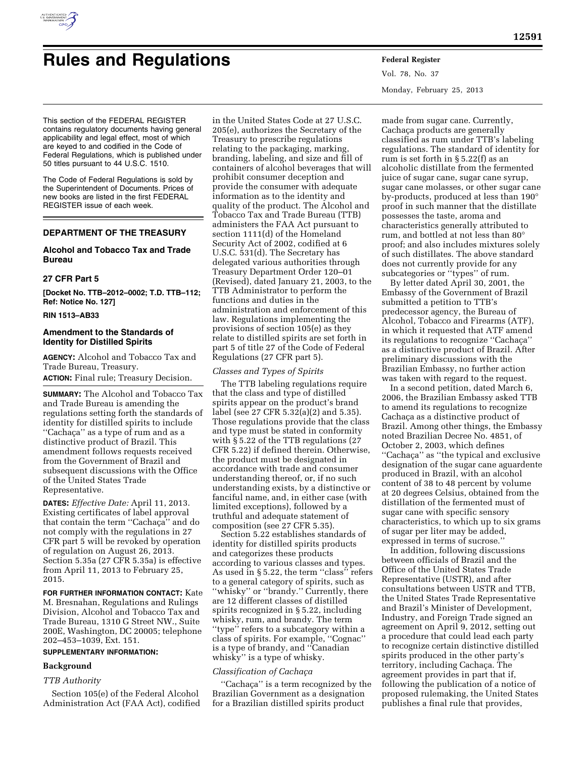

# **Rules and Regulations Federal Register**

Vol. 78, No. 37 Monday, February 25, 2013

This section of the FEDERAL REGISTER contains regulatory documents having general applicability and legal effect, most of which are keyed to and codified in the Code of Federal Regulations, which is published under 50 titles pursuant to 44 U.S.C. 1510.

The Code of Federal Regulations is sold by the Superintendent of Documents. Prices of new books are listed in the first FEDERAL REGISTER issue of each week.

# **DEPARTMENT OF THE TREASURY**

# **Alcohol and Tobacco Tax and Trade Bureau**

# **27 CFR Part 5**

**[Docket No. TTB–2012–0002; T.D. TTB–112; Ref: Notice No. 127]** 

# **RIN 1513–AB33**

# **Amendment to the Standards of Identity for Distilled Spirits**

**AGENCY:** Alcohol and Tobacco Tax and Trade Bureau, Treasury.

**ACTION:** Final rule; Treasury Decision.

**SUMMARY:** The Alcohol and Tobacco Tax and Trade Bureau is amending the regulations setting forth the standards of identity for distilled spirits to include "Cachaça" as a type of rum and as a distinctive product of Brazil. This amendment follows requests received from the Government of Brazil and subsequent discussions with the Office of the United States Trade Representative.

**DATES:** *Effective Date:* April 11, 2013. Existing certificates of label approval that contain the term "Cachaca" and do not comply with the regulations in 27 CFR part 5 will be revoked by operation of regulation on August 26, 2013. Section 5.35a (27 CFR 5.35a) is effective from April 11, 2013 to February 25, 2015.

**FOR FURTHER INFORMATION CONTACT:** Kate M. Bresnahan, Regulations and Rulings Division, Alcohol and Tobacco Tax and Trade Bureau, 1310 G Street NW., Suite 200E, Washington, DC 20005; telephone 202–453–1039, Ext. 151.

# **SUPPLEMENTARY INFORMATION:**

# **Background**

#### *TTB Authority*

Section 105(e) of the Federal Alcohol Administration Act (FAA Act), codified

in the United States Code at 27 U.S.C. 205(e), authorizes the Secretary of the Treasury to prescribe regulations relating to the packaging, marking, branding, labeling, and size and fill of containers of alcohol beverages that will prohibit consumer deception and provide the consumer with adequate information as to the identity and quality of the product. The Alcohol and Tobacco Tax and Trade Bureau (TTB) administers the FAA Act pursuant to section 1111(d) of the Homeland Security Act of 2002, codified at 6 U.S.C. 531(d). The Secretary has delegated various authorities through Treasury Department Order 120–01 (Revised), dated January 21, 2003, to the TTB Administrator to perform the functions and duties in the administration and enforcement of this law. Regulations implementing the provisions of section 105(e) as they relate to distilled spirits are set forth in part 5 of title 27 of the Code of Federal Regulations (27 CFR part 5).

# *Classes and Types of Spirits*

The TTB labeling regulations require that the class and type of distilled spirits appear on the product's brand label (see 27 CFR 5.32(a)(2) and 5.35). Those regulations provide that the class and type must be stated in conformity with § 5.22 of the TTB regulations (27 CFR 5.22) if defined therein. Otherwise, the product must be designated in accordance with trade and consumer understanding thereof, or, if no such understanding exists, by a distinctive or fanciful name, and, in either case (with limited exceptions), followed by a truthful and adequate statement of composition (see 27 CFR 5.35).

Section 5.22 establishes standards of identity for distilled spirits products and categorizes these products according to various classes and types. As used in § 5.22, the term ''class'' refers to a general category of spirits, such as ''whisky'' or ''brandy.'' Currently, there are 12 different classes of distilled spirits recognized in § 5.22, including whisky, rum, and brandy. The term ''type'' refers to a subcategory within a class of spirits. For example, ''Cognac'' is a type of brandy, and ''Canadian whisky'' is a type of whisky.

# *Classification of Cachac¸a*

"Cachaça" is a term recognized by the Brazilian Government as a designation for a Brazilian distilled spirits product

made from sugar cane. Currently, Cachaça products are generally classified as rum under TTB's labeling regulations. The standard of identity for rum is set forth in § 5.22(f) as an alcoholic distillate from the fermented juice of sugar cane, sugar cane syrup, sugar cane molasses, or other sugar cane by-products, produced at less than 190° proof in such manner that the distillate possesses the taste, aroma and characteristics generally attributed to rum, and bottled at not less than 80° proof; and also includes mixtures solely of such distillates. The above standard does not currently provide for any subcategories or ''types'' of rum.

By letter dated April 30, 2001, the Embassy of the Government of Brazil submitted a petition to TTB's predecessor agency, the Bureau of Alcohol, Tobacco and Firearms (ATF), in which it requested that ATF amend its regulations to recognize "Cachaça" as a distinctive product of Brazil. After preliminary discussions with the Brazilian Embassy, no further action was taken with regard to the request.

In a second petition, dated March 6, 2006, the Brazilian Embassy asked TTB to amend its regulations to recognize Cachaça as a distinctive product of Brazil. Among other things, the Embassy noted Brazilian Decree No. 4851, of October 2, 2003, which defines "Cachaça" as "the typical and exclusive designation of the sugar cane aguardente produced in Brazil, with an alcohol content of 38 to 48 percent by volume at 20 degrees Celsius, obtained from the distillation of the fermented must of sugar cane with specific sensory characteristics, to which up to six grams of sugar per liter may be added, expressed in terms of sucrose.''

In addition, following discussions between officials of Brazil and the Office of the United States Trade Representative (USTR), and after consultations between USTR and TTB, the United States Trade Representative and Brazil's Minister of Development, Industry, and Foreign Trade signed an agreement on April 9, 2012, setting out a procedure that could lead each party to recognize certain distinctive distilled spirits produced in the other party's territory, including Cachaça. The agreement provides in part that if, following the publication of a notice of proposed rulemaking, the United States publishes a final rule that provides,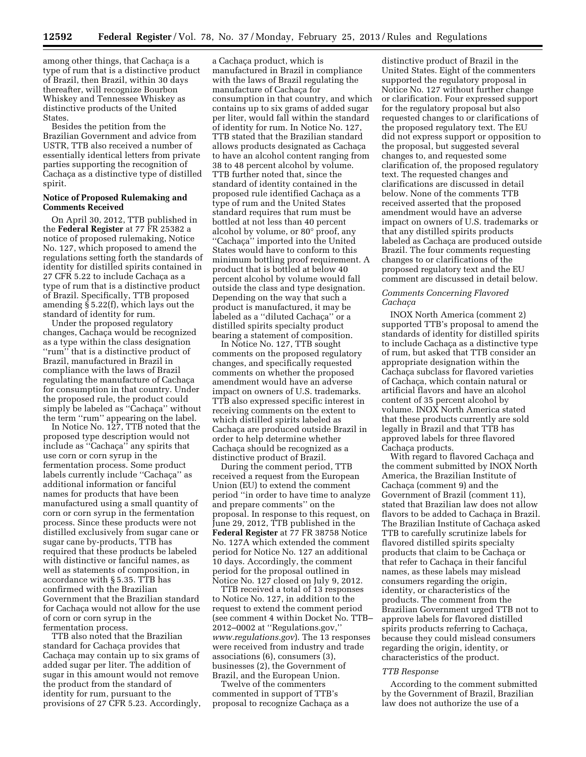among other things, that Cachaça is a type of rum that is a distinctive product of Brazil, then Brazil, within 30 days thereafter, will recognize Bourbon Whiskey and Tennessee Whiskey as distinctive products of the United States.

Besides the petition from the Brazilian Government and advice from USTR, TTB also received a number of essentially identical letters from private parties supporting the recognition of Cachaça as a distinctive type of distilled spirit.

# **Notice of Proposed Rulemaking and Comments Received**

On April 30, 2012, TTB published in the **Federal Register** at 77 FR 25382 a notice of proposed rulemaking, Notice No. 127, which proposed to amend the regulations setting forth the standards of identity for distilled spirits contained in 27 CFR 5.22 to include Cachaça as a type of rum that is a distinctive product of Brazil. Specifically, TTB proposed amending § 5.22(f), which lays out the standard of identity for rum.

Under the proposed regulatory changes, Cachaça would be recognized as a type within the class designation "rum" that is a distinctive product of Brazil, manufactured in Brazil in compliance with the laws of Brazil regulating the manufacture of Cachaça for consumption in that country. Under the proposed rule, the product could simply be labeled as "Cachaça" without the term ''rum'' appearing on the label.

In Notice No. 127, TTB noted that the proposed type description would not include as "Cachaça" any spirits that use corn or corn syrup in the fermentation process. Some product labels currently include "Cachaça" as additional information or fanciful names for products that have been manufactured using a small quantity of corn or corn syrup in the fermentation process. Since these products were not distilled exclusively from sugar cane or sugar cane by-products, TTB has required that these products be labeled with distinctive or fanciful names, as well as statements of composition, in accordance with § 5.35. TTB has confirmed with the Brazilian Government that the Brazilian standard for Cachaça would not allow for the use of corn or corn syrup in the fermentation process.

TTB also noted that the Brazilian standard for Cachaça provides that Cachaça may contain up to six grams of added sugar per liter. The addition of sugar in this amount would not remove the product from the standard of identity for rum, pursuant to the provisions of 27 CFR 5.23. Accordingly,

a Cachaca product, which is manufactured in Brazil in compliance with the laws of Brazil regulating the manufacture of Cachaça for consumption in that country, and which contains up to six grams of added sugar per liter, would fall within the standard of identity for rum. In Notice No. 127, TTB stated that the Brazilian standard allows products designated as Cachaça to have an alcohol content ranging from 38 to 48 percent alcohol by volume. TTB further noted that, since the standard of identity contained in the proposed rule identified Cachaça as a type of rum and the United States standard requires that rum must be bottled at not less than 40 percent alcohol by volume, or 80° proof, any "Cachaça" imported into the United States would have to conform to this minimum bottling proof requirement. A product that is bottled at below 40 percent alcohol by volume would fall outside the class and type designation. Depending on the way that such a product is manufactured, it may be labeled as a "diluted Cachaça" or a distilled spirits specialty product bearing a statement of composition.

In Notice No. 127, TTB sought comments on the proposed regulatory changes, and specifically requested comments on whether the proposed amendment would have an adverse impact on owners of U.S. trademarks. TTB also expressed specific interest in receiving comments on the extent to which distilled spirits labeled as Cachaça are produced outside Brazil in order to help determine whether Cachaça should be recognized as a distinctive product of Brazil.

During the comment period, TTB received a request from the European Union (EU) to extend the comment period ''in order to have time to analyze and prepare comments'' on the proposal. In response to this request, on June 29, 2012, TTB published in the **Federal Register** at 77 FR 38758 Notice No. 127A which extended the comment period for Notice No. 127 an additional 10 days. Accordingly, the comment period for the proposal outlined in Notice No. 127 closed on July 9, 2012.

TTB received a total of 13 responses to Notice No. 127, in addition to the request to extend the comment period (see comment 4 within Docket No. TTB– 2012–0002 at ''Regulations.gov,'' *[www.regulations.gov](http://www.regulations.gov)*). The 13 responses were received from industry and trade associations (6), consumers (3), businesses (2), the Government of Brazil, and the European Union.

Twelve of the commenters commented in support of TTB's proposal to recognize Cachaça as a

distinctive product of Brazil in the United States. Eight of the commenters supported the regulatory proposal in Notice No. 127 without further change or clarification. Four expressed support for the regulatory proposal but also requested changes to or clarifications of the proposed regulatory text. The EU did not express support or opposition to the proposal, but suggested several changes to, and requested some clarification of, the proposed regulatory text. The requested changes and clarifications are discussed in detail below. None of the comments TTB received asserted that the proposed amendment would have an adverse impact on owners of U.S. trademarks or that any distilled spirits products labeled as Cachaça are produced outside Brazil. The four comments requesting changes to or clarifications of the proposed regulatory text and the EU comment are discussed in detail below.

# *Comments Concerning Flavored Cachac¸a*

INOX North America (comment 2) supported TTB's proposal to amend the standards of identity for distilled spirits to include Cachaça as a distinctive type of rum, but asked that TTB consider an appropriate designation within the Cachaça subclass for flavored varieties of Cachaca, which contain natural or artificial flavors and have an alcohol content of 35 percent alcohol by volume. INOX North America stated that these products currently are sold legally in Brazil and that TTB has approved labels for three flavored Cachaca products.

With regard to flavored Cachaça and the comment submitted by INOX North America, the Brazilian Institute of Cachaca (comment 9) and the Government of Brazil (comment 11), stated that Brazilian law does not allow flavors to be added to Cachaça in Brazil. The Brazilian Institute of Cachaça asked TTB to carefully scrutinize labels for flavored distilled spirits specialty products that claim to be Cachaça or that refer to Cachaça in their fanciful names, as these labels may mislead consumers regarding the origin, identity, or characteristics of the products. The comment from the Brazilian Government urged TTB not to approve labels for flavored distilled spirits products referring to Cachaça, because they could mislead consumers regarding the origin, identity, or characteristics of the product.

## *TTB Response*

According to the comment submitted by the Government of Brazil, Brazilian law does not authorize the use of a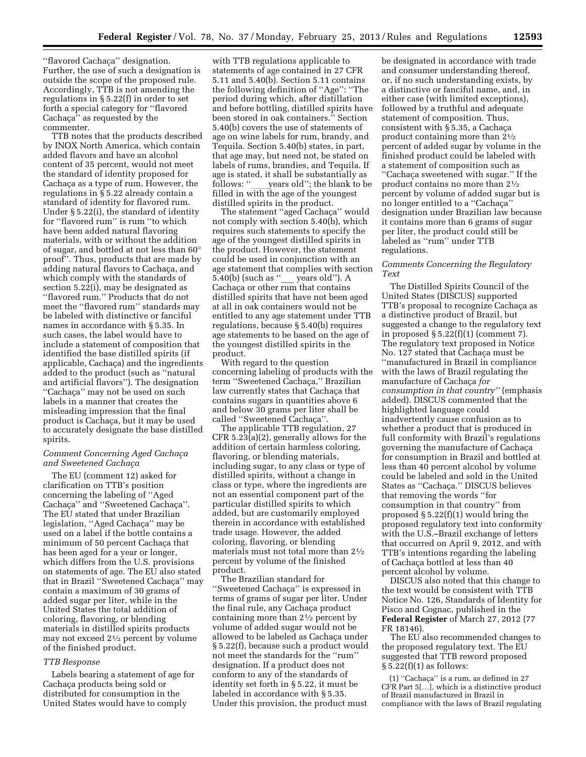"flavored Cachaça" designation. Further, the use of such a designation is outside the scope of the proposed rule. Accordingly, TTB is not amending the regulations in § 5.22(f) in order to set forth a special category for ''flavored Cachaça" as requested by the commenter.

TTB notes that the products described by INOX North America, which contain added flavors and have an alcohol content of 35 percent, would not meet the standard of identity proposed for Cachaça as a type of rum. However, the regulations in § 5.22 already contain a standard of identity for flavored rum. Under § 5.22(i), the standard of identity for ''flavored rum'' is rum ''to which have been added natural flavoring materials, with or without the addition of sugar, and bottled at not less than 60° proof''. Thus, products that are made by adding natural flavors to Cachaça, and which comply with the standards of section 5.22(i), may be designated as ''flavored rum.'' Products that do not meet the ''flavored rum'' standards may be labeled with distinctive or fanciful names in accordance with § 5.35. In such cases, the label would have to include a statement of composition that identified the base distilled spirits (if applicable, Cachaça) and the ingredients added to the product (such as ''natural and artificial flavors''). The designation ''Cachac¸a'' may not be used on such labels in a manner that creates the misleading impression that the final product is Cachaça, but it may be used to accurately designate the base distilled spirits.

# *Comment Concerning Aged Cachac¸a and Sweetened Cachac¸a*

The EU (comment 12) asked for clarification on TTB's position concerning the labeling of ''Aged Cachaça" and "Sweetened Cachaça". The EU stated that under Brazilian legislation, "Aged Cachaça" may be used on a label if the bottle contains a minimum of 50 percent Cachaca that has been aged for a year or longer, which differs from the U.S. provisions on statements of age. The EU also stated that in Brazil "Sweetened Cachaça" may contain a maximum of 30 grams of added sugar per liter, while in the United States the total addition of coloring, flavoring, or blending materials in distilled spirits products may not exceed 21⁄2 percent by volume of the finished product.

#### *TTB Response*

Labels bearing a statement of age for Cachaça products being sold or distributed for consumption in the United States would have to comply

with TTB regulations applicable to statements of age contained in 27 CFR 5.11 and 5.40(b). Section 5.11 contains the following definition of ''Age'': ''The period during which, after distillation and before bottling, distilled spirits have been stored in oak containers.'' Section 5.40(b) covers the use of statements of age on wine labels for rum, brandy, and Tequila. Section 5.40(b) states, in part, that age may, but need not, be stated on labels of rums, brandies, and Tequila. If age is stated, it shall be substantially as<br>follows: "years old"; the blank to be follows: ''\_\_\_\_years old''; the blank to be<br>filled in with the age of the youngest distilled spirits in the product.

The statement "aged Cachaça" would not comply with section 5.40(b), which requires such statements to specify the age of the youngest distilled spirits in the product. However, the statement could be used in conjunction with an age statement that complies with section 5.40(b) (such as ''\_\_\_ years old''). A Cachaca or other rum that contains distilled spirits that have not been aged at all in oak containers would not be entitled to any age statement under TTB regulations, because § 5.40(b) requires age statements to be based on the age of the youngest distilled spirits in the product.

With regard to the question concerning labeling of products with the term "Sweetened Cachaca," Brazilian law currently states that Cachaca that contains sugars in quantities above 6 and below 30 grams per liter shall be called "Sweetened Cachaca"

The applicable TTB regulation, 27 CFR 5.23(a)(2), generally allows for the addition of certain harmless coloring, flavoring, or blending materials, including sugar, to any class or type of distilled spirits, without a change in class or type, where the ingredients are not an essential component part of the particular distilled spirits to which added, but are customarily employed therein in accordance with established trade usage. However, the added coloring, flavoring, or blending materials must not total more than 21⁄2 percent by volume of the finished product.

The Brazilian standard for ''Sweetened Cachac¸a'' is expressed in terms of grams of sugar per liter. Under the final rule, any Cachaça product containing more than  $2\frac{1}{2}$  percent by volume of added sugar would not be allowed to be labeled as Cachaça under § 5.22(f), because such a product would not meet the standards for the ''rum'' designation. If a product does not conform to any of the standards of identity set forth in § 5.22, it must be labeled in accordance with § 5.35. Under this provision, the product must

be designated in accordance with trade and consumer understanding thereof, or, if no such understanding exists, by a distinctive or fanciful name, and, in either case (with limited exceptions), followed by a truthful and adequate statement of composition. Thus, consistent with § 5.35, a Cachaça product containing more than 21⁄2 percent of added sugar by volume in the finished product could be labeled with a statement of composition such as "Cachaça sweetened with sugar." If the product contains no more than 21⁄2 percent by volume of added sugar but is no longer entitled to a "Cachaça" designation under Brazilian law because it contains more than 6 grams of sugar per liter, the product could still be labeled as ''rum'' under TTB regulations.

## *Comments Concerning the Regulatory Text*

The Distilled Spirits Council of the United States (DISCUS) supported TTB's proposal to recognize Cachaça as a distinctive product of Brazil, but suggested a change to the regulatory text in proposed  $\S 5.22(f)(1)$  (comment 7). The regulatory text proposed in Notice No. 127 stated that Cachaça must be ''manufactured in Brazil in compliance with the laws of Brazil regulating the manufacture of Cachaca *for consumption in that country''* (emphasis added). DISCUS commented that the highlighted language could inadvertently cause confusion as to whether a product that is produced in full conformity with Brazil's regulations governing the manufacture of Cachaça for consumption in Brazil and bottled at less than 40 percent alcohol by volume could be labeled and sold in the United States as "Cachaça." DISCUS believes that removing the words ''for consumption in that country'' from proposed  $\S 5.22(f)(1)$  would bring the proposed regulatory text into conformity with the U.S.–Brazil exchange of letters that occurred on April 9, 2012, and with TTB's intentions regarding the labeling of Cachaça bottled at less than 40 percent alcohol by volume.

DISCUS also noted that this change to the text would be consistent with TTB Notice No. 126, Standards of Identity for Pisco and Cognac, published in the **Federal Register** of March 27, 2012 (77 FR 18146).

The EU also recommended changes to the proposed regulatory text. The EU suggested that TTB reword proposed  $§ 5.22(f)(1)$  as follows:

(1) "Cachaça" is a rum, as defined in 27 CFR Part 5[…], which is a distinctive product of Brazil manufactured in Brazil in compliance with the laws of Brazil regulating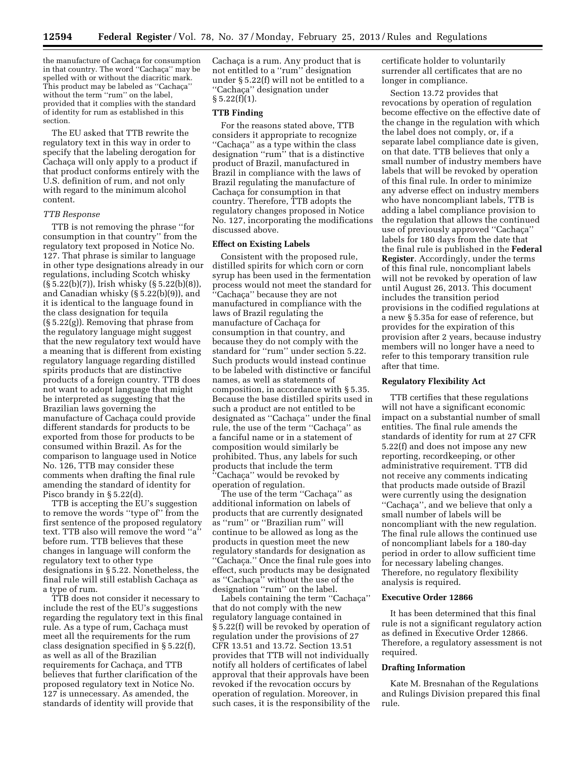the manufacture of Cachaça for consumption in that country. The word "Cachaça" may be spelled with or without the diacritic mark. This product may be labeled as "Cachaca" without the term ''rum'' on the label, provided that it complies with the standard of identity for rum as established in this section.

The EU asked that TTB rewrite the regulatory text in this way in order to specify that the labeling derogation for Cachaça will only apply to a product if that product conforms entirely with the U.S. definition of rum, and not only with regard to the minimum alcohol content.

## *TTB Response*

TTB is not removing the phrase ''for consumption in that country'' from the regulatory text proposed in Notice No. 127. That phrase is similar to language in other type designations already in our regulations, including Scotch whisky (§ 5.22(b)(7)), Irish whisky (§ 5.22(b)(8)), and Canadian whisky (§ 5.22(b)(9)), and it is identical to the language found in the class designation for tequila (§ 5.22(g)). Removing that phrase from the regulatory language might suggest that the new regulatory text would have a meaning that is different from existing regulatory language regarding distilled spirits products that are distinctive products of a foreign country. TTB does not want to adopt language that might be interpreted as suggesting that the Brazilian laws governing the manufacture of Cachaça could provide different standards for products to be exported from those for products to be consumed within Brazil. As for the comparison to language used in Notice No. 126, TTB may consider these comments when drafting the final rule amending the standard of identity for Pisco brandy in § 5.22(d).

TTB is accepting the EU's suggestion to remove the words ''type of'' from the first sentence of the proposed regulatory text. TTB also will remove the word ''a'' before rum. TTB believes that these changes in language will conform the regulatory text to other type designations in § 5.22. Nonetheless, the final rule will still establish Cachaça as a type of rum.

TTB does not consider it necessary to include the rest of the EU's suggestions regarding the regulatory text in this final rule. As a type of rum, Cachaça must meet all the requirements for the rum class designation specified in § 5.22(f), as well as all of the Brazilian requirements for Cachaça, and TTB believes that further clarification of the proposed regulatory text in Notice No. 127 is unnecessary. As amended, the standards of identity will provide that

Cachaça is a rum. Any product that is not entitled to a ''rum'' designation under § 5.22(f) will not be entitled to a "Cachaça" designation under  $§ 5.22(f)(1).$ 

#### **TTB Finding**

For the reasons stated above, TTB considers it appropriate to recognize "Cachaça" as a type within the class designation ''rum'' that is a distinctive product of Brazil, manufactured in Brazil in compliance with the laws of Brazil regulating the manufacture of Cachaça for consumption in that country. Therefore, TTB adopts the regulatory changes proposed in Notice No. 127, incorporating the modifications discussed above.

#### **Effect on Existing Labels**

Consistent with the proposed rule, distilled spirits for which corn or corn syrup has been used in the fermentation process would not meet the standard for ''Cachac¸a'' because they are not manufactured in compliance with the laws of Brazil regulating the manufacture of Cachaca for consumption in that country, and because they do not comply with the standard for ''rum'' under section 5.22. Such products would instead continue to be labeled with distinctive or fanciful names, as well as statements of composition, in accordance with § 5.35. Because the base distilled spirits used in such a product are not entitled to be designated as "Cachaça" under the final rule, the use of the term "Cachaça" as a fanciful name or in a statement of composition would similarly be prohibited. Thus, any labels for such products that include the term ''Cachac¸a'' would be revoked by operation of regulation.

The use of the term "Cachaça" as additional information on labels of products that are currently designated as ''rum'' or ''Brazilian rum'' will continue to be allowed as long as the products in question meet the new regulatory standards for designation as "Cachaça." Once the final rule goes into effect, such products may be designated as ''Cachaça'' without the use of the designation ''rum'' on the label.

Labels containing the term "Cachaça" that do not comply with the new regulatory language contained in § 5.22(f) will be revoked by operation of regulation under the provisions of 27 CFR 13.51 and 13.72. Section 13.51 provides that TTB will not individually notify all holders of certificates of label approval that their approvals have been revoked if the revocation occurs by operation of regulation. Moreover, in such cases, it is the responsibility of the certificate holder to voluntarily surrender all certificates that are no longer in compliance.

Section 13.72 provides that revocations by operation of regulation become effective on the effective date of the change in the regulation with which the label does not comply, or, if a separate label compliance date is given, on that date. TTB believes that only a small number of industry members have labels that will be revoked by operation of this final rule. In order to minimize any adverse effect on industry members who have noncompliant labels, TTB is adding a label compliance provision to the regulation that allows the continued use of previously approved "Cachaca" labels for 180 days from the date that the final rule is published in the **Federal Register**. Accordingly, under the terms of this final rule, noncompliant labels will not be revoked by operation of law until August 26, 2013. This document includes the transition period provisions in the codified regulations at a new § 5.35a for ease of reference, but provides for the expiration of this provision after 2 years, because industry members will no longer have a need to refer to this temporary transition rule after that time.

## **Regulatory Flexibility Act**

TTB certifies that these regulations will not have a significant economic impact on a substantial number of small entities. The final rule amends the standards of identity for rum at 27 CFR 5.22(f) and does not impose any new reporting, recordkeeping, or other administrative requirement. TTB did not receive any comments indicating that products made outside of Brazil were currently using the designation "Cachaça", and we believe that only a small number of labels will be noncompliant with the new regulation. The final rule allows the continued use of noncompliant labels for a 180-day period in order to allow sufficient time for necessary labeling changes. Therefore, no regulatory flexibility analysis is required.

# **Executive Order 12866**

It has been determined that this final rule is not a significant regulatory action as defined in Executive Order 12866. Therefore, a regulatory assessment is not required.

#### **Drafting Information**

Kate M. Bresnahan of the Regulations and Rulings Division prepared this final rule.